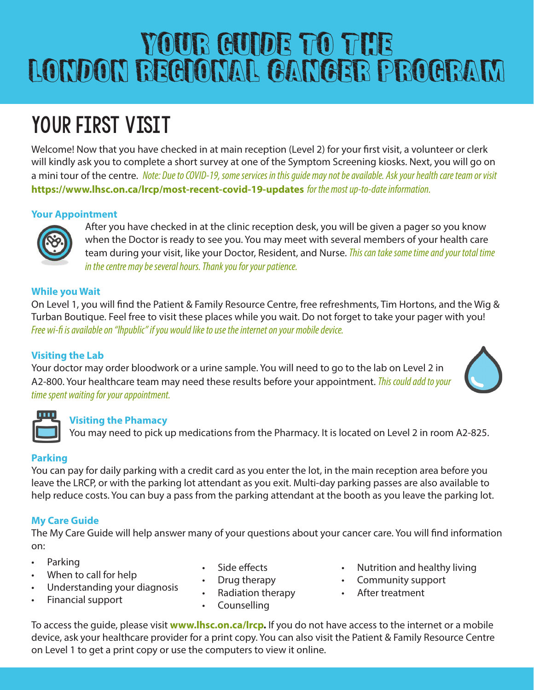# YOUR GUIDE TO THE london regional cancer program

## YOUR FIRST VISIT

Welcome! Now that you have checked in at main reception (Level 2) for your first visit, a volunteer or clerk will kindly ask you to complete a short survey at one of the Symptom Screening kiosks. Next, you will go on a mini tour of the centre. *Note: Due to COVID-19, some services in this guide may not be available. Ask your health care team or visit*  **https://www.lhsc.on.ca/lrcp/most-recent-covid-19-updates** *for the most up-to-date information.*

#### **Your Appointment**



After you have checked in at the clinic reception desk, you will be given a pager so you know when the Doctor is ready to see you. You may meet with several members of your health care team during your visit, like your Doctor, Resident, and Nurse. *This can take some time and your total time in the centre may be several hours. Thank you for your patience.*

#### **While you Wait**

On Level 1, you will find the Patient & Family Resource Centre, free refreshments, Tim Hortons, and the Wig & Turban Boutique. Feel free to visit these places while you wait. Do not forget to take your pager with you! *Free wi-fi is available on "lhpublic" if you would like to use the internet on your mobile device.* 

#### **Visiting the Lab**

Your doctor may order bloodwork or a urine sample. You will need to go to the lab on Level 2 in A2-800. Your healthcare team may need these results before your appointment. *This could add to your time spent waiting for your appointment.*



#### **Visiting the Phamacy**

You may need to pick up medications from the Pharmacy. It is located on Level 2 in room A2-825.

### **Parking**

You can pay for daily parking with a credit card as you enter the lot, in the main reception area before you leave the LRCP, or with the parking lot attendant as you exit. Multi-day parking passes are also available to help reduce costs. You can buy a pass from the parking attendant at the booth as you leave the parking lot.

### **My Care Guide**

The My Care Guide will help answer many of your questions about your cancer care. You will find information on:

- Parking
- When to call for help
- Understanding your diagnosis
- Financial support
- Side effects
- Drug therapy
- Radiation therapy
- Counselling
- Nutrition and healthy living
- Community support
- After treatment

To access the guide, please visit **www.lhsc.on.ca/lrcp.** If you do not have access to the internet or a mobile device, ask your healthcare provider for a print copy. You can also visit the Patient & Family Resource Centre on Level 1 to get a print copy or use the computers to view it online.